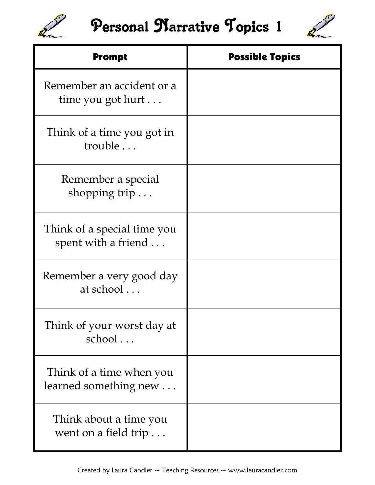

## Personal Marrative Topics 1



| <b>Prompt</b>                                      | <b>Possible Topics</b> |
|----------------------------------------------------|------------------------|
| Remember an accident or a<br>time you got hurt     |                        |
| Think of a time you got in<br>trouble              |                        |
| Remember a special<br>shopping trip $\dots$        |                        |
| Think of a special time you<br>spent with a friend |                        |
| Remember a very good day<br>at school              |                        |
| Think of your worst day at<br>school               |                        |
| Think of a time when you<br>learned something new  |                        |
| Think about a time you<br>went on a field trip     |                        |